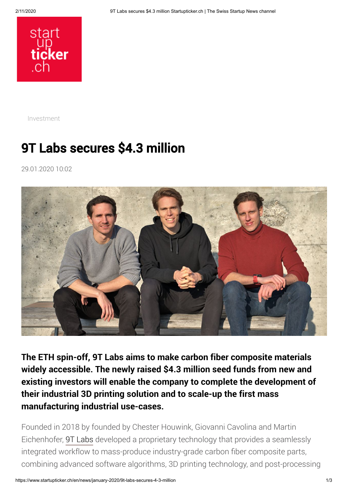

[Investment](https://www.startupticker.ch/en/topics?tag=Investment&show_one_tag=1)

## 9T Labs secures \$4.3 million

29.01.2020 10:02



**The ETH spin-off, 9T Labs aims to make carbon fiber composite materials widely accessible. The newly raised \$4.3 million seed funds from new and existing investors will enable the company to complete the development of their industrial 3D printing solution and to scale-up the first mass manufacturing industrial use-cases.**

Founded in 2018 by founded by Chester Houwink, Giovanni Cavolina and Martin Eichenhofer, [9T Labs](https://www.9tlabs.com/) developed a proprietary technology that provides a seamlessly integrated workflow to mass-produce industry-grade carbon fiber composite parts, combining advanced software algorithms, 3D printing technology, and post-processing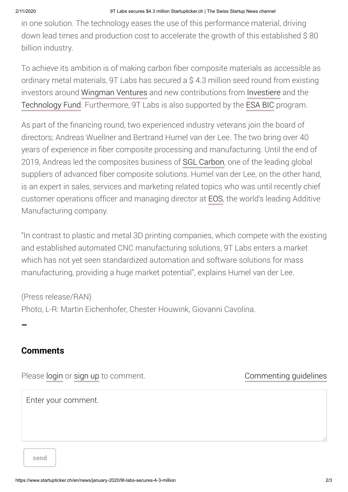in one solution. The technology eases the use of this performance material, driving down lead times and production cost to accelerate the growth of this established \$ 80 billion industry.

To achieve its ambition is of making carbon fiber composite materials as accessible as ordinary metal materials, 9T Labs has secured a \$ 4.3 million seed round from existing investors around [Wingman Ventures](https://www.wingman.ch/) and new contributions from [Investiere](https://www.investiere.ch/) and the [Technology Fund.](https://www.technologyfund.ch/) Furthermore, 9T Labs is also supported by the [ESA BIC](https://www.esabic.ch/) program.

As part of the financing round, two experienced industry veterans join the board of directors; Andreas Wuellner and Bertrand Humel van der Lee. The two bring over 40 years of experience in fiber composite processing and manufacturing. Until the end of 2019, Andreas led the composites business of [SGL Carbon,](https://www.sglcarbon.com/en/) one of the leading global suppliers of advanced fiber composite solutions. Humel van der Lee, on the other hand, is an expert in sales, services and marketing related topics who was until recently chief customer operations officer and managing director at [EOS,](https://www.eos.info/en) the world's leading Additive Manufacturing company.

"In contrast to plastic and metal 3D printing companies, which compete with the existing and established automated CNC manufacturing solutions, 9T Labs enters a market which has not yet seen standardized automation and software solutions for mass manufacturing, providing a huge market potential", explains Humel van der Lee.

(Press release/RAN) Photo, L-R: Martin Eichenhofer, Chester Houwink, Giovanni Cavolina.

**Comments**

**–**

Please [login](https://www.startupticker.ch/en/login) or [sign up](https://www.startupticker.ch/en/profile) to comment.

[Commenting guidelines](https://www.startupticker.ch/en/commenting-guidelines)

Enter your comment.